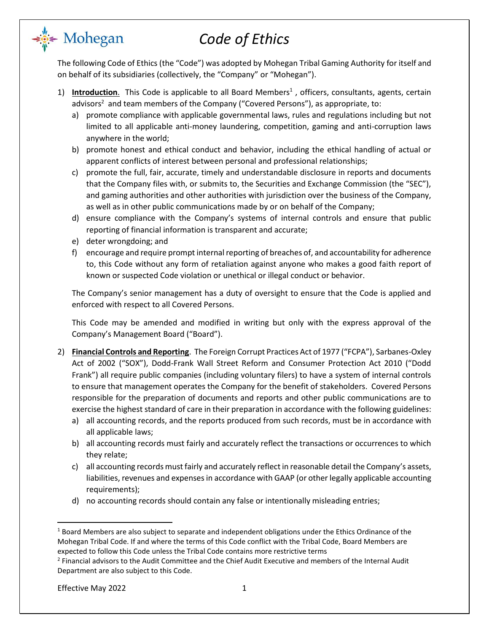The following Code of Ethics (the "Code") was adopted by Mohegan Tribal Gaming Authority for itself and on behalf of its subsidiaries (collectively, the "Company" or "Mohegan").

- 1) Introduction. This Code is applicable to all Board Members<sup>1</sup>, officers, consultants, agents, certain advisors<sup>2</sup> and team members of the Company ("Covered Persons"), as appropriate, to:
	- a) promote compliance with applicable governmental laws, rules and regulations including but not limited to all applicable anti-money laundering, competition, gaming and anti-corruption laws anywhere in the world;
	- b) promote honest and ethical conduct and behavior, including the ethical handling of actual or apparent conflicts of interest between personal and professional relationships;
	- c) promote the full, fair, accurate, timely and understandable disclosure in reports and documents that the Company files with, or submits to, the Securities and Exchange Commission (the "SEC"), and gaming authorities and other authorities with jurisdiction over the business of the Company, as well as in other public communications made by or on behalf of the Company;
	- d) ensure compliance with the Company's systems of internal controls and ensure that public reporting of financial information is transparent and accurate;
	- e) deter wrongdoing; and

<del>⊰</del> Mohegan

f) encourage and require prompt internal reporting of breaches of, and accountability for adherence to, this Code without any form of retaliation against anyone who makes a good faith report of known or suspected Code violation or unethical or illegal conduct or behavior.

The Company's senior management has a duty of oversight to ensure that the Code is applied and enforced with respect to all Covered Persons.

This Code may be amended and modified in writing but only with the express approval of the Company's Management Board ("Board").

- 2) **Financial Controls and Reporting**. The Foreign Corrupt Practices Act of 1977 ("FCPA"), Sarbanes-Oxley Act of 2002 ("SOX"), Dodd-Frank Wall Street Reform and Consumer Protection Act 2010 ("Dodd Frank") all require public companies (including voluntary filers) to have a system of internal controls to ensure that management operates the Company for the benefit of stakeholders. Covered Persons responsible for the preparation of documents and reports and other public communications are to exercise the highest standard of care in their preparation in accordance with the following guidelines:
	- a) all accounting records, and the reports produced from such records, must be in accordance with all applicable laws;
	- b) all accounting records must fairly and accurately reflect the transactions or occurrences to which they relate;
	- c) all accounting records must fairly and accurately reflect in reasonable detail the Company's assets, liabilities, revenues and expenses in accordance with GAAP (or other legally applicable accounting requirements);
	- d) no accounting records should contain any false or intentionally misleading entries;

Effective May 2022 1

<sup>&</sup>lt;sup>1</sup> Board Members are also subject to separate and independent obligations under the Ethics Ordinance of the Mohegan Tribal Code. If and where the terms of this Code conflict with the Tribal Code, Board Members are expected to follow this Code unless the Tribal Code contains more restrictive terms

 $2$  Financial advisors to the Audit Committee and the Chief Audit Executive and members of the Internal Audit Department are also subject to this Code.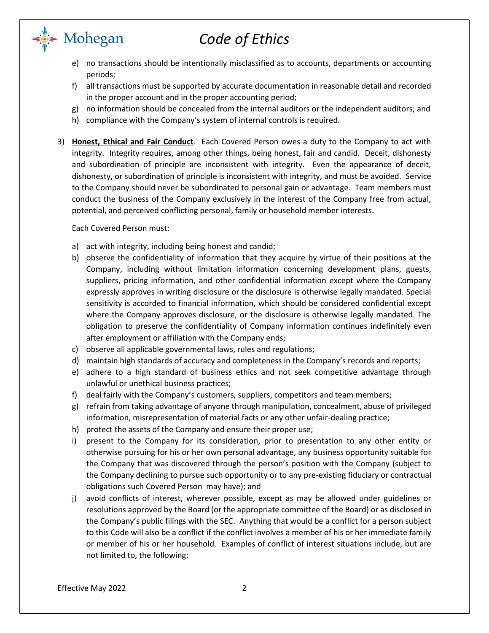- e) no transactions should be intentionally misclassified as to accounts, departments or accounting periods;
- f) all transactions must be supported by accurate documentation in reasonable detail and recorded in the proper account and in the proper accounting period;
- g) no information should be concealed from the internal auditors or the independent auditors; and
- h) compliance with the Company's system of internal controls is required.
- 3) **Honest, Ethical and Fair Conduct**. Each Covered Person owes a duty to the Company to act with integrity. Integrity requires, among other things, being honest, fair and candid. Deceit, dishonesty and subordination of principle are inconsistent with integrity. Even the appearance of deceit, dishonesty, or subordination of principle is inconsistent with integrity, and must be avoided. Service to the Company should never be subordinated to personal gain or advantage. Team members must conduct the business of the Company exclusively in the interest of the Company free from actual, potential, and perceived conflicting personal, family or household member interests.

Each Covered Person must:

∗∰∉ Mohegan

- a) act with integrity, including being honest and candid;
- b) observe the confidentiality of information that they acquire by virtue of their positions at the Company, including without limitation information concerning development plans, guests, suppliers, pricing information, and other confidential information except where the Company expressly approves in writing disclosure or the disclosure is otherwise legally mandated. Special sensitivity is accorded to financial information, which should be considered confidential except where the Company approves disclosure, or the disclosure is otherwise legally mandated. The obligation to preserve the confidentiality of Company information continues indefinitely even after employment or affiliation with the Company ends;
- c) observe all applicable governmental laws, rules and regulations;
- d) maintain high standards of accuracy and completeness in the Company's records and reports;
- e) adhere to a high standard of business ethics and not seek competitive advantage through unlawful or unethical business practices;
- f) deal fairly with the Company's customers, suppliers, competitors and team members;
- g) refrain from taking advantage of anyone through manipulation, concealment, abuse of privileged information, misrepresentation of material facts or any other unfair-dealing practice;
- h) protect the assets of the Company and ensure their proper use;
- i) present to the Company for its consideration, prior to presentation to any other entity or otherwise pursuing for his or her own personal advantage, any business opportunity suitable for the Company that was discovered through the person's position with the Company (subject to the Company declining to pursue such opportunity or to any pre-existing fiduciary or contractual obligations such Covered Person may have); and
- j) avoid conflicts of interest, wherever possible, except as may be allowed under guidelines or resolutions approved by the Board (or the appropriate committee of the Board) or as disclosed in the Company's public filings with the SEC. Anything that would be a conflict for a person subject to this Code will also be a conflict if the conflict involves a member of his or her immediate family or member of his or her household. Examples of conflict of interest situations include, but are not limited to, the following: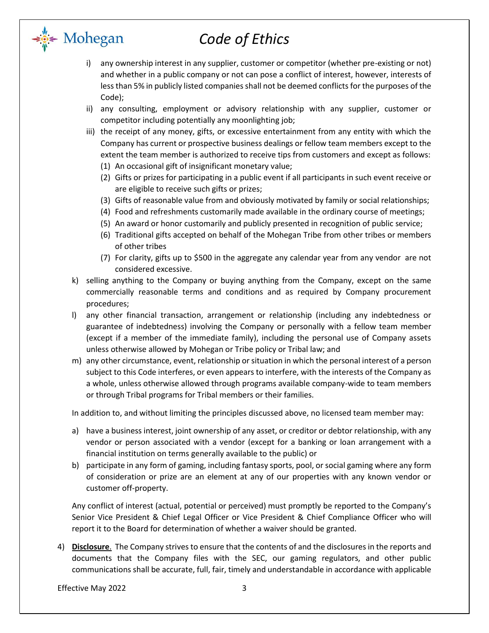- i) any ownership interest in any supplier, customer or competitor (whether pre-existing or not) and whether in a public company or not can pose a conflict of interest, however, interests of less than 5% in publicly listed companies shall not be deemed conflicts for the purposes of the Code);
- ii) any consulting, employment or advisory relationship with any supplier, customer or competitor including potentially any moonlighting job;
- iii) the receipt of any money, gifts, or excessive entertainment from any entity with which the Company has current or prospective business dealings or fellow team members except to the extent the team member is authorized to receive tips from customers and except as follows:
	- (1) An occasional gift of insignificant monetary value;
	- (2) Gifts or prizes for participating in a public event if all participants in such event receive or are eligible to receive such gifts or prizes;
	- (3) Gifts of reasonable value from and obviously motivated by family or social relationships;
	- (4) Food and refreshments customarily made available in the ordinary course of meetings;
	- (5) An award or honor customarily and publicly presented in recognition of public service;
	- (6) Traditional gifts accepted on behalf of the Mohegan Tribe from other tribes or members of other tribes
	- (7) For clarity, gifts up to \$500 in the aggregate any calendar year from any vendor are not considered excessive.
- k) selling anything to the Company or buying anything from the Company, except on the same commercially reasonable terms and conditions and as required by Company procurement procedures;
- l) any other financial transaction, arrangement or relationship (including any indebtedness or guarantee of indebtedness) involving the Company or personally with a fellow team member (except if a member of the immediate family), including the personal use of Company assets unless otherwise allowed by Mohegan or Tribe policy or Tribal law; and
- m) any other circumstance, event, relationship or situation in which the personal interest of a person subject to this Code interferes, or even appears to interfere, with the interests of the Company as a whole, unless otherwise allowed through programs available company-wide to team members or through Tribal programs for Tribal members or their families.

In addition to, and without limiting the principles discussed above, no licensed team member may:

- a) have a business interest, joint ownership of any asset, or creditor or debtor relationship, with any vendor or person associated with a vendor (except for a banking or loan arrangement with a financial institution on terms generally available to the public) or
- b) participate in any form of gaming, including fantasy sports, pool, or social gaming where any form of consideration or prize are an element at any of our properties with any known vendor or customer off-property.

Any conflict of interest (actual, potential or perceived) must promptly be reported to the Company's Senior Vice President & Chief Legal Officer or Vice President & Chief Compliance Officer who will report it to the Board for determination of whether a waiver should be granted.

4) **Disclosure**. The Company strives to ensure that the contents of and the disclosures in the reports and documents that the Company files with the SEC, our gaming regulators, and other public communications shall be accurate, full, fair, timely and understandable in accordance with applicable

Effective May 2022 3

<del>⊧</del> Mohegan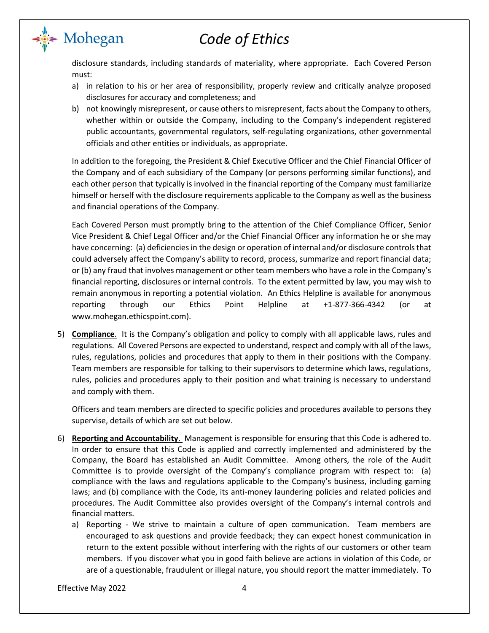disclosure standards, including standards of materiality, where appropriate. Each Covered Person must:

- a) in relation to his or her area of responsibility, properly review and critically analyze proposed disclosures for accuracy and completeness; and
- b) not knowingly misrepresent, or cause others to misrepresent, facts about the Company to others, whether within or outside the Company, including to the Company's independent registered public accountants, governmental regulators, self-regulating organizations, other governmental officials and other entities or individuals, as appropriate.

In addition to the foregoing, the President & Chief Executive Officer and the Chief Financial Officer of the Company and of each subsidiary of the Company (or persons performing similar functions), and each other person that typically is involved in the financial reporting of the Company must familiarize himself or herself with the disclosure requirements applicable to the Company as well as the business and financial operations of the Company.

Each Covered Person must promptly bring to the attention of the Chief Compliance Officer, Senior Vice President & Chief Legal Officer and/or the Chief Financial Officer any information he or she may have concerning: (a) deficiencies in the design or operation of internal and/or disclosure controls that could adversely affect the Company's ability to record, process, summarize and report financial data; or (b) any fraud that involves management or other team members who have a role in the Company's financial reporting, disclosures or internal controls. To the extent permitted by law, you may wish to remain anonymous in reporting a potential violation. An Ethics Helpline is available for anonymous reporting through our Ethics Point Helpline at +1-877-366-4342 (or at www.mohegan.ethicspoint.com).

5) **Compliance**. It is the Company's obligation and policy to comply with all applicable laws, rules and regulations. All Covered Persons are expected to understand, respect and comply with all of the laws, rules, regulations, policies and procedures that apply to them in their positions with the Company. Team members are responsible for talking to their supervisors to determine which laws, regulations, rules, policies and procedures apply to their position and what training is necessary to understand and comply with them.

Officers and team members are directed to specific policies and procedures available to persons they supervise, details of which are set out below.

- 6) **Reporting and Accountability**. Management is responsible for ensuring that this Code is adhered to. In order to ensure that this Code is applied and correctly implemented and administered by the Company, the Board has established an Audit Committee. Among others, the role of the Audit Committee is to provide oversight of the Company's compliance program with respect to: (a) compliance with the laws and regulations applicable to the Company's business, including gaming laws; and (b) compliance with the Code, its anti-money laundering policies and related policies and procedures. The Audit Committee also provides oversight of the Company's internal controls and financial matters.
	- a) Reporting We strive to maintain a culture of open communication. Team members are encouraged to ask questions and provide feedback; they can expect honest communication in return to the extent possible without interfering with the rights of our customers or other team members. If you discover what you in good faith believe are actions in violation of this Code, or are of a questionable, fraudulent or illegal nature, you should report the matter immediately. To

Effective May 2022 4

<del>⊧</del> Mohegan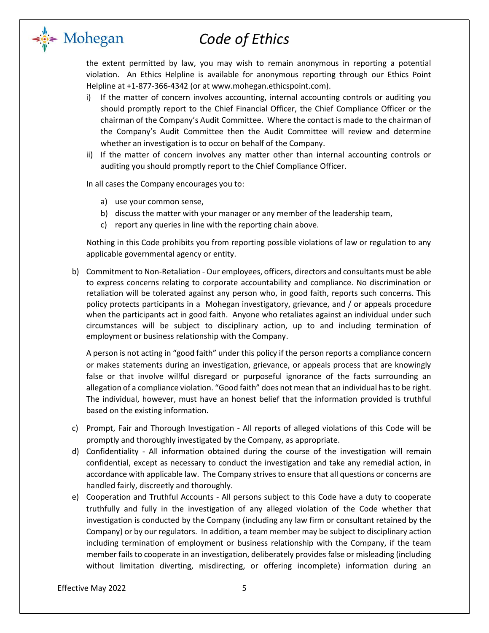

the extent permitted by law, you may wish to remain anonymous in reporting a potential violation. An Ethics Helpline is available for anonymous reporting through our Ethics Point Helpline at +1-877-366-4342 (or at www.mohegan.ethicspoint.com).

- i) If the matter of concern involves accounting, internal accounting controls or auditing you should promptly report to the Chief Financial Officer, the Chief Compliance Officer or the chairman of the Company's Audit Committee. Where the contact is made to the chairman of the Company's Audit Committee then the Audit Committee will review and determine whether an investigation is to occur on behalf of the Company.
- ii) If the matter of concern involves any matter other than internal accounting controls or auditing you should promptly report to the Chief Compliance Officer.

In all cases the Company encourages you to:

a) use your common sense,

<del>⊧</del> Mohegan

- b) discuss the matter with your manager or any member of the leadership team,
- c) report any queries in line with the reporting chain above.

Nothing in this Code prohibits you from reporting possible violations of law or regulation to any applicable governmental agency or entity.

b) Commitment to Non-Retaliation - Our employees, officers, directors and consultants must be able to express concerns relating to corporate accountability and compliance. No discrimination or retaliation will be tolerated against any person who, in good faith, reports such concerns. This policy protects participants in a Mohegan investigatory, grievance, and / or appeals procedure when the participants act in good faith. Anyone who retaliates against an individual under such circumstances will be subject to disciplinary action, up to and including termination of employment or business relationship with the Company.

A person is not acting in "good faith" under this policy if the person reports a compliance concern or makes statements during an investigation, grievance, or appeals process that are knowingly false or that involve willful disregard or purposeful ignorance of the facts surrounding an allegation of a compliance violation. "Good faith" does not mean that an individual has to be right. The individual, however, must have an honest belief that the information provided is truthful based on the existing information.

- c) Prompt, Fair and Thorough Investigation All reports of alleged violations of this Code will be promptly and thoroughly investigated by the Company, as appropriate.
- d) Confidentiality All information obtained during the course of the investigation will remain confidential, except as necessary to conduct the investigation and take any remedial action, in accordance with applicable law. The Company strives to ensure that all questions or concerns are handled fairly, discreetly and thoroughly.
- e) Cooperation and Truthful Accounts All persons subject to this Code have a duty to cooperate truthfully and fully in the investigation of any alleged violation of the Code whether that investigation is conducted by the Company (including any law firm or consultant retained by the Company) or by our regulators. In addition, a team member may be subject to disciplinary action including termination of employment or business relationship with the Company, if the team member fails to cooperate in an investigation, deliberately provides false or misleading (including without limitation diverting, misdirecting, or offering incomplete) information during an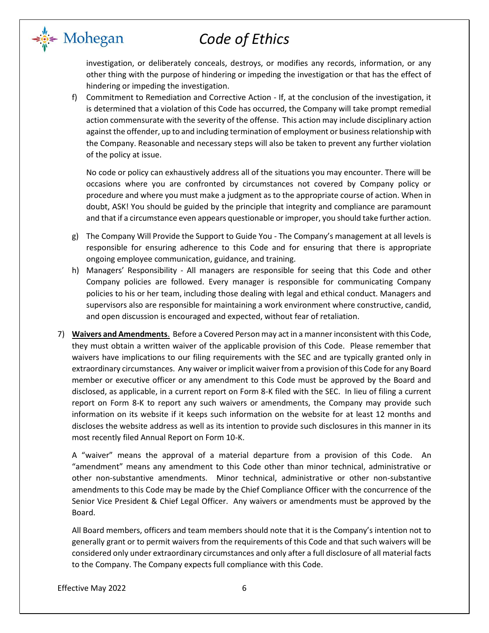

investigation, or deliberately conceals, destroys, or modifies any records, information, or any other thing with the purpose of hindering or impeding the investigation or that has the effect of hindering or impeding the investigation.

f) Commitment to Remediation and Corrective Action - If, at the conclusion of the investigation, it is determined that a violation of this Code has occurred, the Company will take prompt remedial action commensurate with the severity of the offense. This action may include disciplinary action against the offender, up to and including termination of employment or business relationship with the Company. Reasonable and necessary steps will also be taken to prevent any further violation of the policy at issue.

No code or policy can exhaustively address all of the situations you may encounter. There will be occasions where you are confronted by circumstances not covered by Company policy or procedure and where you must make a judgment as to the appropriate course of action. When in doubt, ASK! You should be guided by the principle that integrity and compliance are paramount and that if a circumstance even appears questionable or improper, you should take further action.

- g) The Company Will Provide the Support to Guide You The Company's management at all levels is responsible for ensuring adherence to this Code and for ensuring that there is appropriate ongoing employee communication, guidance, and training.
- h) Managers' Responsibility All managers are responsible for seeing that this Code and other Company policies are followed. Every manager is responsible for communicating Company policies to his or her team, including those dealing with legal and ethical conduct. Managers and supervisors also are responsible for maintaining a work environment where constructive, candid, and open discussion is encouraged and expected, without fear of retaliation.
- 7) **Waivers and Amendments**. Before a Covered Person may act in a manner inconsistent with this Code, they must obtain a written waiver of the applicable provision of this Code. Please remember that waivers have implications to our filing requirements with the SEC and are typically granted only in extraordinary circumstances. Any waiver or implicit waiver from a provision of this Code for any Board member or executive officer or any amendment to this Code must be approved by the Board and disclosed, as applicable, in a current report on Form 8-K filed with the SEC. In lieu of filing a current report on Form 8-K to report any such waivers or amendments, the Company may provide such information on its website if it keeps such information on the website for at least 12 months and discloses the website address as well as its intention to provide such disclosures in this manner in its most recently filed Annual Report on Form 10-K.

A "waiver" means the approval of a material departure from a provision of this Code. An "amendment" means any amendment to this Code other than minor technical, administrative or other non-substantive amendments. Minor technical, administrative or other non-substantive amendments to this Code may be made by the Chief Compliance Officer with the concurrence of the Senior Vice President & Chief Legal Officer. Any waivers or amendments must be approved by the Board.

All Board members, officers and team members should note that it is the Company's intention not to generally grant or to permit waivers from the requirements of this Code and that such waivers will be considered only under extraordinary circumstances and only after a full disclosure of all material facts to the Company. The Company expects full compliance with this Code.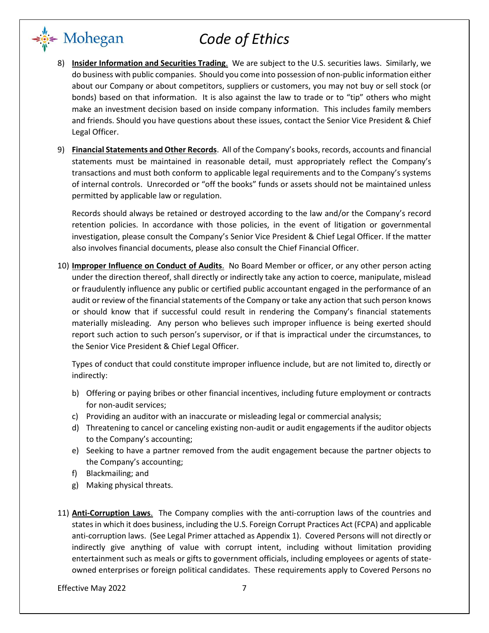- 8) **Insider Information and Securities Trading**. We are subject to the U.S. securities laws. Similarly, we do business with public companies. Should you come into possession of non-public information either about our Company or about competitors, suppliers or customers, you may not buy or sell stock (or bonds) based on that information. It is also against the law to trade or to "tip" others who might make an investment decision based on inside company information. This includes family members and friends. Should you have questions about these issues, contact the Senior Vice President & Chief Legal Officer.
- 9) **Financial Statements and Other Records**. All of the Company's books, records, accounts and financial statements must be maintained in reasonable detail, must appropriately reflect the Company's transactions and must both conform to applicable legal requirements and to the Company's systems of internal controls. Unrecorded or "off the books" funds or assets should not be maintained unless permitted by applicable law or regulation.

Records should always be retained or destroyed according to the law and/or the Company's record retention policies. In accordance with those policies, in the event of litigation or governmental investigation, please consult the Company's Senior Vice President & Chief Legal Officer. If the matter also involves financial documents, please also consult the Chief Financial Officer.

10) **Improper Influence on Conduct of Audits**. No Board Member or officer, or any other person acting under the direction thereof, shall directly or indirectly take any action to coerce, manipulate, mislead or fraudulently influence any public or certified public accountant engaged in the performance of an audit or review of the financial statements of the Company or take any action that such person knows or should know that if successful could result in rendering the Company's financial statements materially misleading. Any person who believes such improper influence is being exerted should report such action to such person's supervisor, or if that is impractical under the circumstances, to the Senior Vice President & Chief Legal Officer.

Types of conduct that could constitute improper influence include, but are not limited to, directly or indirectly:

- b) Offering or paying bribes or other financial incentives, including future employment or contracts for non-audit services;
- c) Providing an auditor with an inaccurate or misleading legal or commercial analysis;
- d) Threatening to cancel or canceling existing non-audit or audit engagements if the auditor objects to the Company's accounting;
- e) Seeking to have a partner removed from the audit engagement because the partner objects to the Company's accounting;
- f) Blackmailing; and

ं Mohegan

- g) Making physical threats.
- 11) **Anti-Corruption Laws**. The Company complies with the anti-corruption laws of the countries and states in which it does business, including the U.S. Foreign Corrupt Practices Act (FCPA) and applicable anti-corruption laws. (See Legal Primer attached as Appendix 1). Covered Persons will not directly or indirectly give anything of value with corrupt intent, including without limitation providing entertainment such as meals or gifts to government officials, including employees or agents of stateowned enterprises or foreign political candidates. These requirements apply to Covered Persons no

Effective May 2022 7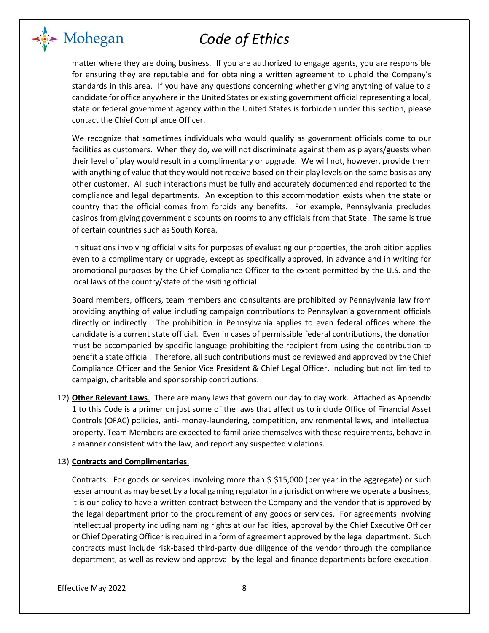<del>⊧</del> Mohegan

matter where they are doing business. If you are authorized to engage agents, you are responsible for ensuring they are reputable and for obtaining a written agreement to uphold the Company's standards in this area. If you have any questions concerning whether giving anything of value to a candidate for office anywhere in the United States or existing government official representing a local, state or federal government agency within the United States is forbidden under this section, please contact the Chief Compliance Officer.

We recognize that sometimes individuals who would qualify as government officials come to our facilities as customers. When they do, we will not discriminate against them as players/guests when their level of play would result in a complimentary or upgrade. We will not, however, provide them with anything of value that they would not receive based on their play levels on the same basis as any other customer. All such interactions must be fully and accurately documented and reported to the compliance and legal departments. An exception to this accommodation exists when the state or country that the official comes from forbids any benefits. For example, Pennsylvania precludes casinos from giving government discounts on rooms to any officials from that State. The same is true of certain countries such as South Korea.

In situations involving official visits for purposes of evaluating our properties, the prohibition applies even to a complimentary or upgrade, except as specifically approved, in advance and in writing for promotional purposes by the Chief Compliance Officer to the extent permitted by the U.S. and the local laws of the country/state of the visiting official.

Board members, officers, team members and consultants are prohibited by Pennsylvania law from providing anything of value including campaign contributions to Pennsylvania government officials directly or indirectly. The prohibition in Pennsylvania applies to even federal offices where the candidate is a current state official. Even in cases of permissible federal contributions, the donation must be accompanied by specific language prohibiting the recipient from using the contribution to benefit a state official. Therefore, all such contributions must be reviewed and approved by the Chief Compliance Officer and the Senior Vice President & Chief Legal Officer, including but not limited to campaign, charitable and sponsorship contributions.

12) **Other Relevant Laws**. There are many laws that govern our day to day work. Attached as Appendix 1 to this Code is a primer on just some of the laws that affect us to include Office of Financial Asset Controls (OFAC) policies, anti- money-laundering, competition, environmental laws, and intellectual property. Team Members are expected to familiarize themselves with these requirements, behave in a manner consistent with the law, and report any suspected violations.

### 13) **Contracts and Complimentaries**.

Contracts: For goods or services involving more than \$ \$15,000 (per year in the aggregate) or such lesser amount as may be set by a local gaming regulator in a jurisdiction where we operate a business, it is our policy to have a written contract between the Company and the vendor that is approved by the legal department prior to the procurement of any goods or services. For agreements involving intellectual property including naming rights at our facilities, approval by the Chief Executive Officer or Chief Operating Officer is required in a form of agreement approved by the legal department. Such contracts must include risk-based third-party due diligence of the vendor through the compliance department, as well as review and approval by the legal and finance departments before execution.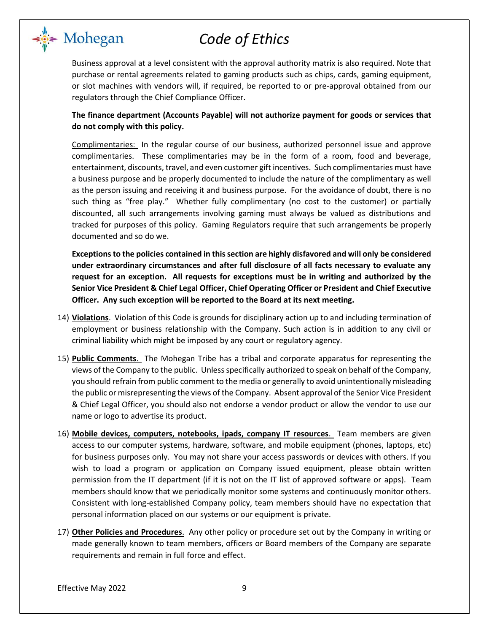

Business approval at a level consistent with the approval authority matrix is also required. Note that purchase or rental agreements related to gaming products such as chips, cards, gaming equipment, or slot machines with vendors will, if required, be reported to or pre-approval obtained from our regulators through the Chief Compliance Officer.

**The finance department (Accounts Payable) will not authorize payment for goods or services that do not comply with this policy.**

Complimentaries: In the regular course of our business, authorized personnel issue and approve complimentaries. These complimentaries may be in the form of a room, food and beverage, entertainment, discounts, travel, and even customer gift incentives. Such complimentaries must have a business purpose and be properly documented to include the nature of the complimentary as well as the person issuing and receiving it and business purpose. For the avoidance of doubt, there is no such thing as "free play." Whether fully complimentary (no cost to the customer) or partially discounted, all such arrangements involving gaming must always be valued as distributions and tracked for purposes of this policy. Gaming Regulators require that such arrangements be properly documented and so do we.

**Exceptions to the policies contained in this section are highly disfavored and will only be considered under extraordinary circumstances and after full disclosure of all facts necessary to evaluate any request for an exception. All requests for exceptions must be in writing and authorized by the Senior Vice President & Chief Legal Officer, Chief Operating Officer or President and Chief Executive Officer. Any such exception will be reported to the Board at its next meeting.**

- 14) **Violations**. Violation of this Code is grounds for disciplinary action up to and including termination of employment or business relationship with the Company. Such action is in addition to any civil or criminal liability which might be imposed by any court or regulatory agency.
- 15) **Public Comments**. The Mohegan Tribe has a tribal and corporate apparatus for representing the views of the Company to the public. Unless specifically authorized to speak on behalf of the Company, you should refrain from public comment to the media or generally to avoid unintentionally misleading the public or misrepresenting the views of the Company. Absent approval of the Senior Vice President & Chief Legal Officer, you should also not endorse a vendor product or allow the vendor to use our name or logo to advertise its product.
- 16) **Mobile devices, computers, notebooks, ipads, company IT resources**. Team members are given access to our computer systems, hardware, software, and mobile equipment (phones, laptops, etc) for business purposes only. You may not share your access passwords or devices with others. If you wish to load a program or application on Company issued equipment, please obtain written permission from the IT department (if it is not on the IT list of approved software or apps). Team members should know that we periodically monitor some systems and continuously monitor others. Consistent with long-established Company policy, team members should have no expectation that personal information placed on our systems or our equipment is private.
- 17) **Other Policies and Procedures**. Any other policy or procedure set out by the Company in writing or made generally known to team members, officers or Board members of the Company are separate requirements and remain in full force and effect.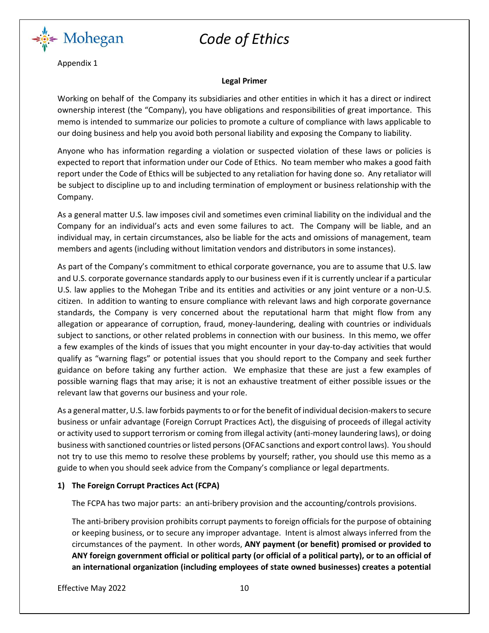

Appendix 1

#### **Legal Primer**

Working on behalf of the Company its subsidiaries and other entities in which it has a direct or indirect ownership interest (the "Company), you have obligations and responsibilities of great importance. This memo is intended to summarize our policies to promote a culture of compliance with laws applicable to our doing business and help you avoid both personal liability and exposing the Company to liability.

Anyone who has information regarding a violation or suspected violation of these laws or policies is expected to report that information under our Code of Ethics. No team member who makes a good faith report under the Code of Ethics will be subjected to any retaliation for having done so. Any retaliator will be subject to discipline up to and including termination of employment or business relationship with the Company.

As a general matter U.S. law imposes civil and sometimes even criminal liability on the individual and the Company for an individual's acts and even some failures to act. The Company will be liable, and an individual may, in certain circumstances, also be liable for the acts and omissions of management, team members and agents (including without limitation vendors and distributors in some instances).

As part of the Company's commitment to ethical corporate governance, you are to assume that U.S. law and U.S. corporate governance standards apply to our business even if it is currently unclear if a particular U.S. law applies to the Mohegan Tribe and its entities and activities or any joint venture or a non-U.S. citizen. In addition to wanting to ensure compliance with relevant laws and high corporate governance standards, the Company is very concerned about the reputational harm that might flow from any allegation or appearance of corruption, fraud, money-laundering, dealing with countries or individuals subject to sanctions, or other related problems in connection with our business. In this memo, we offer a few examples of the kinds of issues that you might encounter in your day-to-day activities that would qualify as "warning flags" or potential issues that you should report to the Company and seek further guidance on before taking any further action. We emphasize that these are just a few examples of possible warning flags that may arise; it is not an exhaustive treatment of either possible issues or the relevant law that governs our business and your role.

As a general matter, U.S. law forbids payments to or for the benefit of individual decision-makers to secure business or unfair advantage (Foreign Corrupt Practices Act), the disguising of proceeds of illegal activity or activity used to support terrorism or coming from illegal activity (anti-money laundering laws), or doing business with sanctioned countries or listed persons (OFAC sanctions and export control laws). You should not try to use this memo to resolve these problems by yourself; rather, you should use this memo as a guide to when you should seek advice from the Company's compliance or legal departments.

### **1) The Foreign Corrupt Practices Act (FCPA)**

The FCPA has two major parts: an anti-bribery provision and the accounting/controls provisions.

The anti-bribery provision prohibits corrupt payments to foreign officials for the purpose of obtaining or keeping business, or to secure any improper advantage. Intent is almost always inferred from the circumstances of the payment. In other words, **ANY payment (or benefit) promised or provided to ANY foreign government official or political party (or official of a political party), or to an official of an international organization (including employees of state owned businesses) creates a potential** 

Effective May 2022 10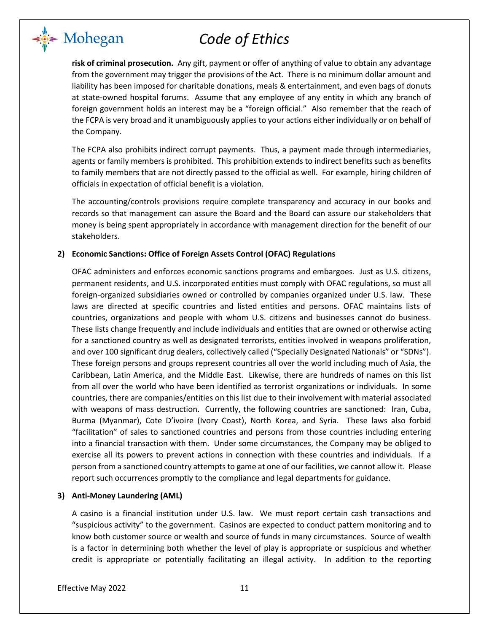**risk of criminal prosecution.** Any gift, payment or offer of anything of value to obtain any advantage from the government may trigger the provisions of the Act. There is no minimum dollar amount and liability has been imposed for charitable donations, meals & entertainment, and even bags of donuts at state-owned hospital forums. Assume that any employee of any entity in which any branch of foreign government holds an interest may be a "foreign official." Also remember that the reach of the FCPA is very broad and it unambiguously applies to your actions either individually or on behalf of the Company.

The FCPA also prohibits indirect corrupt payments. Thus, a payment made through intermediaries, agents or family members is prohibited. This prohibition extends to indirect benefits such as benefits to family members that are not directly passed to the official as well. For example, hiring children of officials in expectation of official benefit is a violation.

The accounting/controls provisions require complete transparency and accuracy in our books and records so that management can assure the Board and the Board can assure our stakeholders that money is being spent appropriately in accordance with management direction for the benefit of our stakeholders.

### **2) Economic Sanctions: Office of Foreign Assets Control (OFAC) Regulations**

OFAC administers and enforces economic sanctions programs and embargoes. Just as U.S. citizens, permanent residents, and U.S. incorporated entities must comply with OFAC regulations, so must all foreign-organized subsidiaries owned or controlled by companies organized under U.S. law. These laws are directed at specific countries and listed entities and persons. OFAC maintains lists of countries, organizations and people with whom U.S. citizens and businesses cannot do business. These lists change frequently and include individuals and entities that are owned or otherwise acting for a sanctioned country as well as designated terrorists, entities involved in weapons proliferation, and over 100 significant drug dealers, collectively called ("Specially Designated Nationals" or "SDNs"). These foreign persons and groups represent countries all over the world including much of Asia, the Caribbean, Latin America, and the Middle East. Likewise, there are hundreds of names on this list from all over the world who have been identified as terrorist organizations or individuals. In some countries, there are companies/entities on this list due to their involvement with material associated with weapons of mass destruction. Currently, the following countries are sanctioned: Iran, Cuba, Burma (Myanmar), Cote D'ivoire (Ivory Coast), North Korea, and Syria. These laws also forbid "facilitation" of sales to sanctioned countries and persons from those countries including entering into a financial transaction with them. Under some circumstances, the Company may be obliged to exercise all its powers to prevent actions in connection with these countries and individuals. If a person from a sanctioned country attempts to game at one of our facilities, we cannot allow it. Please report such occurrences promptly to the compliance and legal departments for guidance.

#### **3) Anti-Money Laundering (AML)**

A casino is a financial institution under U.S. law. We must report certain cash transactions and "suspicious activity" to the government. Casinos are expected to conduct pattern monitoring and to know both customer source or wealth and source of funds in many circumstances. Source of wealth is a factor in determining both whether the level of play is appropriate or suspicious and whether credit is appropriate or potentially facilitating an illegal activity. In addition to the reporting

<del>⊧</del> Mohegan